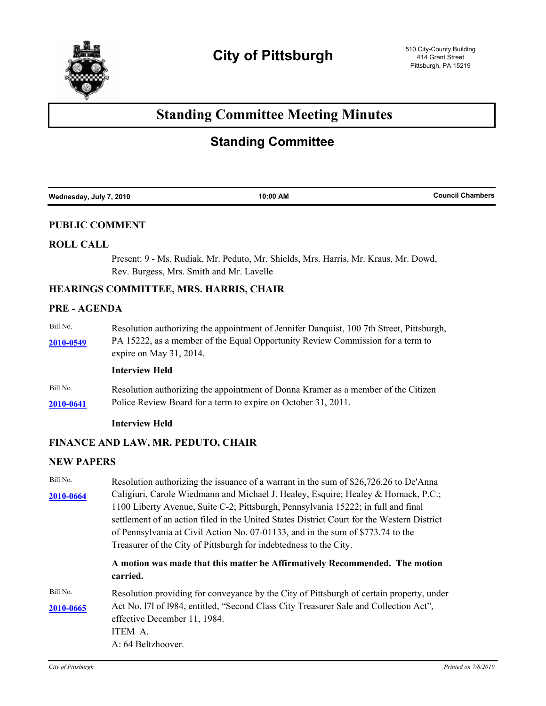

# **Standing Committee Meeting Minutes**

## **Standing Committee**

| Wednesday, July 7, 2010 | 10:00 AM | <b>Council Chambers</b> |
|-------------------------|----------|-------------------------|
|                         |          |                         |

## **PUBLIC COMMENT**

#### **ROLL CALL**

Present: 9 - Ms. Rudiak, Mr. Peduto, Mr. Shields, Mrs. Harris, Mr. Kraus, Mr. Dowd, Rev. Burgess, Mrs. Smith and Mr. Lavelle

## **HEARINGS COMMITTEE, MRS. HARRIS, CHAIR**

## **PRE - AGENDA**

Bill No. Resolution authorizing the appointment of Jennifer Danquist, 100 7th Street, Pittsburgh, PA 15222, as a member of the Equal Opportunity Review Commission for a term to **[2010-0549](http://pittsburgh.legistar.com/gateway.aspx?M=L&ID=13104)** expire on May 31, 2014.

## **Interview Held**

Bill No. Resolution authorizing the appointment of Donna Kramer as a member of the Citizen **[2010-0641](http://pittsburgh.legistar.com/gateway.aspx?M=L&ID=13203)** Police Review Board for a term to expire on October 31, 2011.

#### **Interview Held**

#### **FINANCE AND LAW, MR. PEDUTO, CHAIR**

### **NEW PAPERS**

| Bill No.  | Resolution authorizing the issuance of a warrant in the sum of \$26,726.26 to De'Anna                                 |  |
|-----------|-----------------------------------------------------------------------------------------------------------------------|--|
| 2010-0664 | Caligiuri, Carole Wiedmann and Michael J. Healey, Esquire; Healey & Hornack, P.C.;                                    |  |
|           | 1100 Liberty Avenue, Suite C-2; Pittsburgh, Pennsylvania 15222; in full and final                                     |  |
|           | settlement of an action filed in the United States District Court for the Western District                            |  |
|           | of Pennsylvania at Civil Action No. 07-01133, and in the sum of \$773.74 to the                                       |  |
|           | Treasurer of the City of Pittsburgh for indebtedness to the City.                                                     |  |
|           | A motion was made that this matter be Affirmatively Recommended. The motion<br>carried.                               |  |
| Bill No.  | Resolution providing for conveyance by the City of Pittsburgh of certain property, under                              |  |
| 2010-0665 | Act No. 171 of 1984, entitled, "Second Class City Treasurer Sale and Collection Act",<br>effective December 11, 1984. |  |
|           | ITEM A.                                                                                                               |  |
|           | A: 64 Beltzhoover.                                                                                                    |  |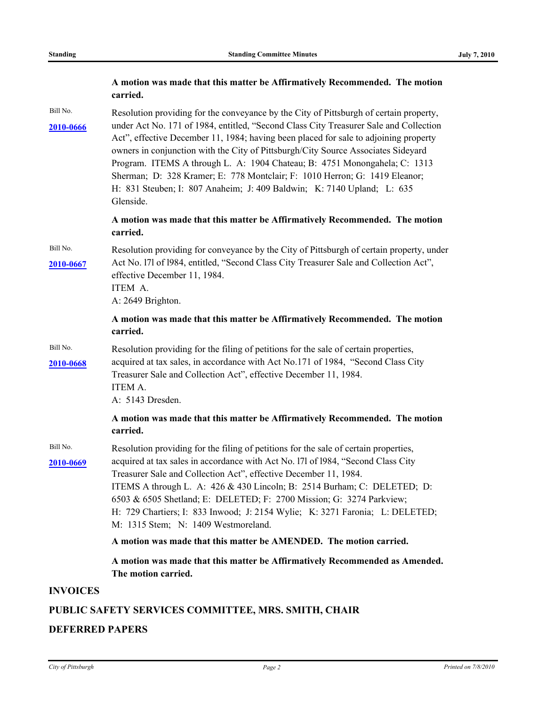|                       | A motion was made that this matter be Affirmatively Recommended. The motion<br>carried.                                                                                                                                                                                                                                                                                                                                                                                                                              |
|-----------------------|----------------------------------------------------------------------------------------------------------------------------------------------------------------------------------------------------------------------------------------------------------------------------------------------------------------------------------------------------------------------------------------------------------------------------------------------------------------------------------------------------------------------|
| Bill No.              | Resolution providing for the conveyance by the City of Pittsburgh of certain property,                                                                                                                                                                                                                                                                                                                                                                                                                               |
| 2010-0666             | under Act No. 171 of 1984, entitled, "Second Class City Treasurer Sale and Collection<br>Act", effective December 11, 1984; having been placed for sale to adjoining property<br>owners in conjunction with the City of Pittsburgh/City Source Associates Sideyard<br>Program. ITEMS A through L. A: 1904 Chateau; B: 4751 Monongahela; C: 1313<br>Sherman; D: 328 Kramer; E: 778 Montclair; F: 1010 Herron; G: 1419 Eleanor;<br>H: 831 Steuben; I: 807 Anaheim; J: 409 Baldwin; K: 7140 Upland; L: 635<br>Glenside. |
|                       | A motion was made that this matter be Affirmatively Recommended. The motion<br>carried.                                                                                                                                                                                                                                                                                                                                                                                                                              |
| Bill No.<br>2010-0667 | Resolution providing for conveyance by the City of Pittsburgh of certain property, under<br>Act No. 171 of 1984, entitled, "Second Class City Treasurer Sale and Collection Act",<br>effective December 11, 1984.<br>ITEM A.<br>A: 2649 Brighton.                                                                                                                                                                                                                                                                    |
|                       | A motion was made that this matter be Affirmatively Recommended. The motion<br>carried.                                                                                                                                                                                                                                                                                                                                                                                                                              |
| Bill No.<br>2010-0668 | Resolution providing for the filing of petitions for the sale of certain properties,<br>acquired at tax sales, in accordance with Act No.171 of 1984, "Second Class City<br>Treasurer Sale and Collection Act", effective December 11, 1984.<br>ITEM A.<br>A: 5143 Dresden.                                                                                                                                                                                                                                          |
|                       | A motion was made that this matter be Affirmatively Recommended. The motion<br>carried.                                                                                                                                                                                                                                                                                                                                                                                                                              |
| Bill No.              | Resolution providing for the filing of petitions for the sale of certain properties,                                                                                                                                                                                                                                                                                                                                                                                                                                 |
| 2010-0669             | acquired at tax sales in accordance with Act No. 171 of 1984, "Second Class City                                                                                                                                                                                                                                                                                                                                                                                                                                     |
|                       | Treasurer Sale and Collection Act", effective December 11, 1984.                                                                                                                                                                                                                                                                                                                                                                                                                                                     |
|                       | ITEMS A through L. A: 426 & 430 Lincoln; B: 2514 Burham; C: DELETED; D:<br>6503 & 6505 Shetland; E: DELETED; F: 2700 Mission; G: 3274 Parkview;                                                                                                                                                                                                                                                                                                                                                                      |
|                       | H: 729 Chartiers; I: 833 Inwood; J: 2154 Wylie; K: 3271 Faronia; L: DELETED;<br>M: 1315 Stem; N: 1409 Westmoreland.                                                                                                                                                                                                                                                                                                                                                                                                  |
|                       | A motion was made that this matter be AMENDED. The motion carried.                                                                                                                                                                                                                                                                                                                                                                                                                                                   |
|                       | A motion was made that this matter be Affirmatively Recommended as Amended.<br>The motion carried.                                                                                                                                                                                                                                                                                                                                                                                                                   |
| <b>INVOICES</b>       |                                                                                                                                                                                                                                                                                                                                                                                                                                                                                                                      |
|                       | PUBLIC SAFETY SERVICES COMMITTEE, MRS. SMITH, CHAIR                                                                                                                                                                                                                                                                                                                                                                                                                                                                  |

## **DEFERRED PAPERS**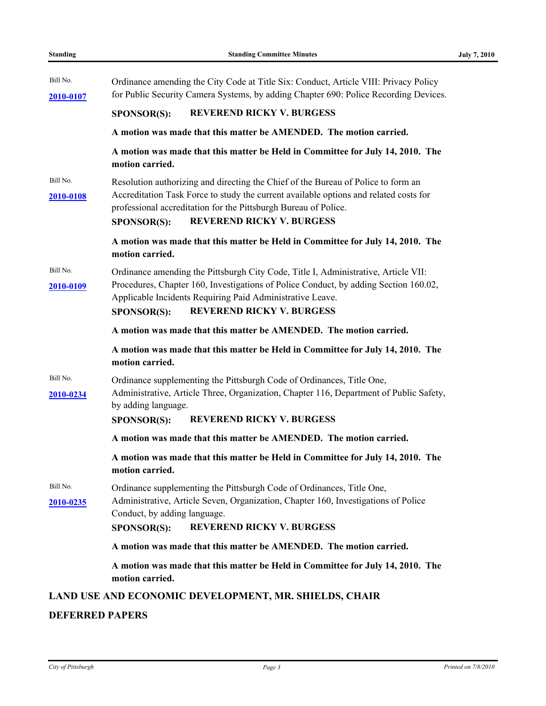| Bill No.              | Ordinance amending the City Code at Title Six: Conduct, Article VIII: Privacy Policy                                                                                                                                                                                                                    |  |
|-----------------------|---------------------------------------------------------------------------------------------------------------------------------------------------------------------------------------------------------------------------------------------------------------------------------------------------------|--|
| 2010-0107             | for Public Security Camera Systems, by adding Chapter 690: Police Recording Devices.                                                                                                                                                                                                                    |  |
|                       | <b>REVEREND RICKY V. BURGESS</b><br><b>SPONSOR(S):</b>                                                                                                                                                                                                                                                  |  |
|                       | A motion was made that this matter be AMENDED. The motion carried.                                                                                                                                                                                                                                      |  |
|                       | A motion was made that this matter be Held in Committee for July 14, 2010. The<br>motion carried.                                                                                                                                                                                                       |  |
| Bill No.<br>2010-0108 | Resolution authorizing and directing the Chief of the Bureau of Police to form an<br>Accreditation Task Force to study the current available options and related costs for<br>professional accreditation for the Pittsburgh Bureau of Police.<br><b>REVEREND RICKY V. BURGESS</b><br><b>SPONSOR(S):</b> |  |
|                       | A motion was made that this matter be Held in Committee for July 14, 2010. The<br>motion carried.                                                                                                                                                                                                       |  |
| Bill No.<br>2010-0109 | Ordinance amending the Pittsburgh City Code, Title I, Administrative, Article VII:<br>Procedures, Chapter 160, Investigations of Police Conduct, by adding Section 160.02,<br>Applicable Incidents Requiring Paid Administrative Leave.<br><b>REVEREND RICKY V. BURGESS</b><br><b>SPONSOR(S):</b>       |  |
|                       | A motion was made that this matter be AMENDED. The motion carried.                                                                                                                                                                                                                                      |  |
|                       | A motion was made that this matter be Held in Committee for July 14, 2010. The<br>motion carried.                                                                                                                                                                                                       |  |
| Bill No.<br>2010-0234 | Ordinance supplementing the Pittsburgh Code of Ordinances, Title One,<br>Administrative, Article Three, Organization, Chapter 116, Department of Public Safety,<br>by adding language.<br><b>REVEREND RICKY V. BURGESS</b><br>SPONSOR(S):                                                               |  |
|                       | A motion was made that this matter be AMENDED. The motion carried.                                                                                                                                                                                                                                      |  |
|                       | A motion was made that this matter be Held in Committee for July 14, 2010. The<br>motion carried.                                                                                                                                                                                                       |  |
| Bill No.<br>2010-0235 | Ordinance supplementing the Pittsburgh Code of Ordinances, Title One,<br>Administrative, Article Seven, Organization, Chapter 160, Investigations of Police<br>Conduct, by adding language.<br><b>REVEREND RICKY V. BURGESS</b><br><b>SPONSOR(S):</b>                                                   |  |
|                       | A motion was made that this matter be AMENDED. The motion carried.                                                                                                                                                                                                                                      |  |
|                       | A motion was made that this matter be Held in Committee for July 14, 2010. The<br>motion carried.                                                                                                                                                                                                       |  |
|                       | LAND USE AND ECONOMIC DEVELOPMENT, MR. SHIELDS, CHAIR                                                                                                                                                                                                                                                   |  |

## **DEFERRED PAPERS**